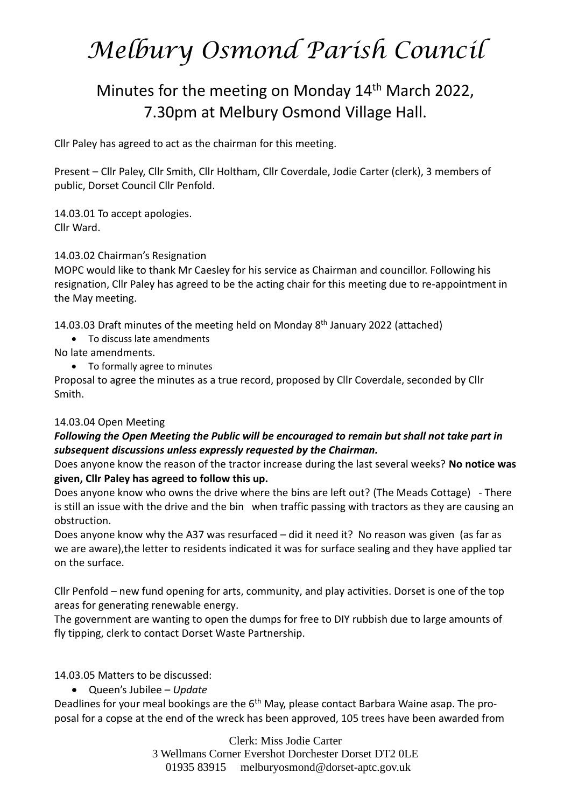# *Melbury Osmond Parish Council*

## Minutes for the meeting on Monday 14<sup>th</sup> March 2022, 7.30pm at Melbury Osmond Village Hall.

Cllr Paley has agreed to act as the chairman for this meeting.

Present – Cllr Paley, Cllr Smith, Cllr Holtham, Cllr Coverdale, Jodie Carter (clerk), 3 members of public, Dorset Council Cllr Penfold.

14.03.01 To accept apologies. Cllr Ward.

### 14.03.02 Chairman's Resignation

MOPC would like to thank Mr Caesley for his service as Chairman and councillor. Following his resignation, Cllr Paley has agreed to be the acting chair for this meeting due to re-appointment in the May meeting.

14.03.03 Draft minutes of the meeting held on Monday 8<sup>th</sup> January 2022 (attached)

• To discuss late amendments

No late amendments.

• To formally agree to minutes

Proposal to agree the minutes as a true record, proposed by Cllr Coverdale, seconded by Cllr Smith.

### 14.03.04 Open Meeting

### *Following the Open Meeting the Public will be encouraged to remain but shall not take part in subsequent discussions unless expressly requested by the Chairman.*

Does anyone know the reason of the tractor increase during the last several weeks? **No notice was given, Cllr Paley has agreed to follow this up.** 

Does anyone know who owns the drive where the bins are left out? (The Meads Cottage) - There is still an issue with the drive and the bin when traffic passing with tractors as they are causing an obstruction.

Does anyone know why the A37 was resurfaced – did it need it? No reason was given (as far as we are aware),the letter to residents indicated it was for surface sealing and they have applied tar on the surface.

Cllr Penfold – new fund opening for arts, community, and play activities. Dorset is one of the top areas for generating renewable energy.

The government are wanting to open the dumps for free to DIY rubbish due to large amounts of fly tipping, clerk to contact Dorset Waste Partnership.

14.03.05 Matters to be discussed:

• Queen's Jubilee – *Update* 

Deadlines for your meal bookings are the 6<sup>th</sup> May, please contact Barbara Waine asap. The proposal for a copse at the end of the wreck has been approved, 105 trees have been awarded from

> Clerk: Miss Jodie Carter 3 Wellmans Corner Evershot Dorchester Dorset DT2 0LE 01935 83915 [melburyosmond@dorset-aptc.gov.uk](mailto:melburyosmond@dorset-aptc.gov.uk)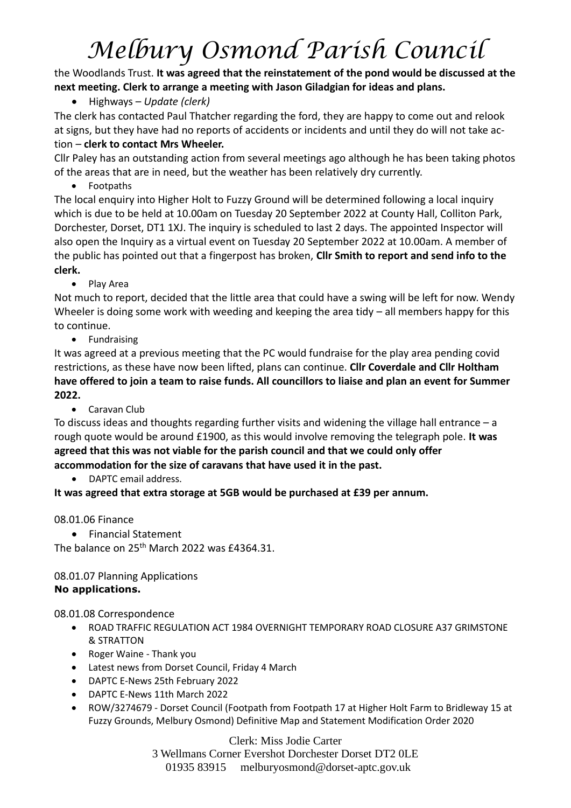# *Melbury Osmond Parish Council*

the Woodlands Trust. **It was agreed that the reinstatement of the pond would be discussed at the next meeting. Clerk to arrange a meeting with Jason Giladgian for ideas and plans.** 

• Highways – *Update (clerk)*

The clerk has contacted Paul Thatcher regarding the ford, they are happy to come out and relook at signs, but they have had no reports of accidents or incidents and until they do will not take action – **clerk to contact Mrs Wheeler.**

Cllr Paley has an outstanding action from several meetings ago although he has been taking photos of the areas that are in need, but the weather has been relatively dry currently.

• Footpaths

The local enquiry into Higher Holt to Fuzzy Ground will be determined following a local inquiry which is due to be held at 10.00am on Tuesday 20 September 2022 at County Hall, Colliton Park, Dorchester, Dorset, DT1 1XJ. The inquiry is scheduled to last 2 days. The appointed Inspector will also open the Inquiry as a virtual event on Tuesday 20 September 2022 at 10.00am. A member of the public has pointed out that a fingerpost has broken, **Cllr Smith to report and send info to the clerk.**

• Play Area

Not much to report, decided that the little area that could have a swing will be left for now. Wendy Wheeler is doing some work with weeding and keeping the area tidy – all members happy for this to continue.

• Fundraising

It was agreed at a previous meeting that the PC would fundraise for the play area pending covid restrictions, as these have now been lifted, plans can continue. **Cllr Coverdale and Cllr Holtham have offered to join a team to raise funds. All councillors to liaise and plan an event for Summer 2022.** 

• Caravan Club

To discuss ideas and thoughts regarding further visits and widening the village hall entrance  $- a$ rough quote would be around £1900, as this would involve removing the telegraph pole. **It was agreed that this was not viable for the parish council and that we could only offer accommodation for the size of caravans that have used it in the past.** 

• DAPTC email address.

**It was agreed that extra storage at 5GB would be purchased at £39 per annum.** 

08.01.06 Finance

• Financial Statement

The balance on 25<sup>th</sup> March 2022 was £4364.31.

### 08.01.07 Planning Applications **No applications.**

08.01.08 Correspondence

- ROAD TRAFFIC REGULATION ACT 1984 OVERNIGHT TEMPORARY ROAD CLOSURE A37 GRIMSTONE & STRATTON
- Roger Waine Thank you
- Latest news from Dorset Council, Friday 4 March
- DAPTC E-News 25th February 2022
- DAPTC E-News 11th March 2022
- ROW/3274679 Dorset Council (Footpath from Footpath 17 at Higher Holt Farm to Bridleway 15 at Fuzzy Grounds, Melbury Osmond) Definitive Map and Statement Modification Order 2020

Clerk: Miss Jodie Carter 3 Wellmans Corner Evershot Dorchester Dorset DT2 0LE 01935 83915 [melburyosmond@dorset-aptc.gov.uk](mailto:melburyosmond@dorset-aptc.gov.uk)